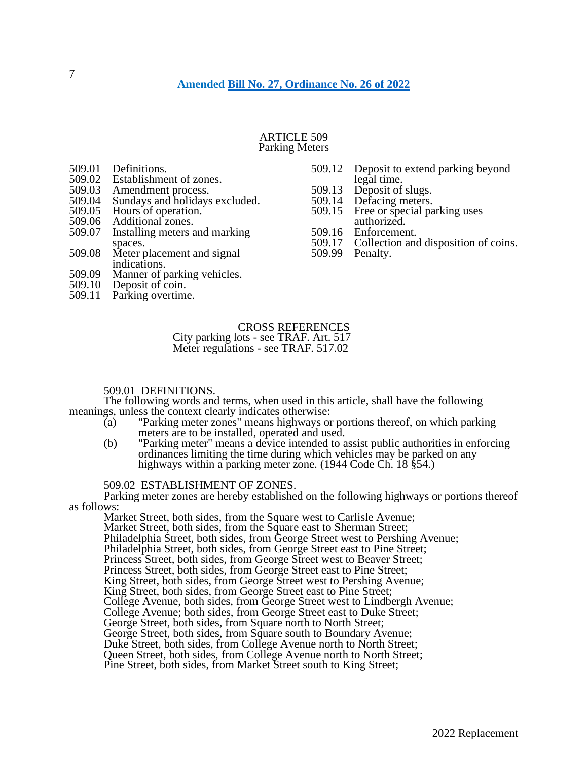### ARTICLE 509 Parking Meters

| 509.01 Definitions.                   |        | 509.12 Deposit to extend parking beyond     |
|---------------------------------------|--------|---------------------------------------------|
| 509.02 Establishment of zones.        |        | legal time.                                 |
| 509.03 Amendment process.             | 509.13 | Deposit of slugs.                           |
| 509.04 Sundays and holidays excluded. |        | 509.14 Defacing meters.                     |
| 509.05 Hours of operation.            |        | 509.15 Free or special parking uses         |
| 509.06 Additional zones.              |        | authorized.                                 |
| 509.07 Installing meters and marking  | 509.16 | Enforcement.                                |
| spaces.                               |        | 509.17 Collection and disposition of coins. |
| 509.08 Meter placement and signal     |        | 509.99 Penalty.                             |
| indications.                          |        |                                             |

- 509.09 Manner of parking vehicles.
- 509.10 Deposit of coin.
- 509.11 Parking overtime.

## CROSS REFERENCES

City parking lots - see TRAF. Art. 517 Meter regulations - see TRAF. 517.02

## 509.01 DEFINITIONS.

The following words and terms, when used in this article, shall have the following meanings, unless the context clearly indicates otherwise:

- (a) "Parking meter zones" means highways or portions thereof, on which parking meters are to be installed, operated and used.
- (b) "Parking meter" means a device intended to assist public authorities in enforcing ordinances limiting the time during which vehicles may be parked on any highways within a parking meter zone. (1944 Code Ch. 18 § 54.)

## 509.02 ESTABLISHMENT OF ZONES.

Parking meter zones are hereby established on the following highways or portions thereof as follows:

Market Street, both sides, from the Square west to Carlisle Avenue; Market Street, both sides, from the Square east to Sherman Street; Philadelphia Street, both sides, from George Street west to Pershing Avenue; Philadelphia Street, both sides, from George Street east to Pine Street; Princess Street, both sides, from George Street west to Beaver Street; Princess Street, both sides, from George Street east to Pine Street; King Street, both sides, from George Street west to Pershing Avenue; King Street, both sides, from George Street east to Pine Street; College Avenue, both sides, from George Street west to Lindbergh Avenue; College Avenue; both sides, from George Street east to Duke Street; George Street, both sides, from Square north to North Street; George Street, both sides, from Square south to Boundary Avenue; Duke Street, both sides, from College Avenue north to North Street; Queen Street, both sides, from College Avenue north to North Street; Pine Street, both sides, from Market Street south to King Street;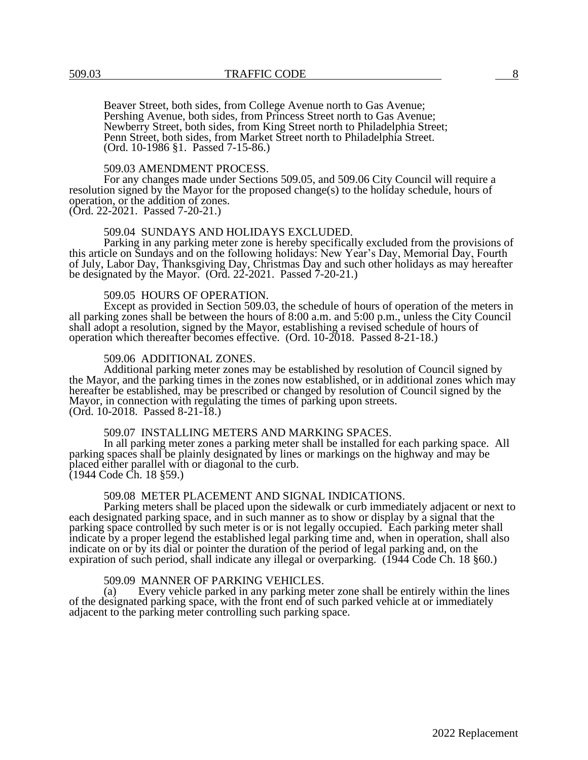Beaver Street, both sides, from College Avenue north to Gas Avenue; Pershing Avenue, both sides, from Princess Street north to Gas Avenue; Newberry Street, both sides, from King Street north to Philadelphia Street; Penn Street, both sides, from Market Street north to Philadelphia Street. (Ord. 10-1986 §1. Passed 7-15-86.)

#### 509.03 AMENDMENT PROCESS.

For any changes made under Sections 509.05, and 509.06 City Council will require a resolution signed by the Mayor for the proposed change(s) to the holiday schedule, hours of operation, or the addition of zones. (Ord. 22-2021. Passed 7-20-21.)

#### 509.04 SUNDAYS AND HOLIDAYS EXCLUDED.

Parking in any parking meter zone is hereby specifically excluded from the provisions of this article on Sundays and on the following holidays: New Year's Day, Memorial Day, Fourth of July, Labor Day, Thanksgiving Day, Christmas Day and such other holidays as may hereafter be designated by the Mayor. (Ord. 22-2021. Passed 7-20-21.)

#### 509.05 HOURS OF OPERATION.

Except as provided in Section 509.03, the schedule of hours of operation of the meters in all parking zones shall be between the hours of 8:00 a.m. and 5:00 p.m., unless the City Council shall adopt a resolution, signed by the Mayor, establishing a revised schedule of hours of operation which thereafter becomes effective. (Ord. 10-2018. Passed 8-21-18.)

#### 509.06 ADDITIONAL ZONES.

Additional parking meter zones may be established by resolution of Council signed by the Mayor, and the parking times in the zones now established, or in additional zones which may hereafter be established, may be prescribed or changed by resolution of Council signed by the Mayor, in connection with regulating the times of parking upon streets. (Ord. 10-2018. Passed 8-21-18.)

## 509.07 INSTALLING METERS AND MARKING SPACES.

In all parking meter zones a parking meter shall be installed for each parking space. All parking spaces shall be plainly designated by lines or markings on the highway and may be placed either parallel with or diagonal to the curb. (1944 Code Ch. 18 §59.)

#### 509.08 METER PLACEMENT AND SIGNAL INDICATIONS.

Parking meters shall be placed upon the sidewalk or curb immediately adjacent or next to each designated parking space, and in such manner as to show or display by a signal that the parking space controlled by such meter is or is not legally occupied. Each parking meter shall indicate by a proper legend the established legal parking time and, when in operation, shall also indicate on or by its dial or pointer the duration of the period of legal parking and, on the expiration of such period, shall indicate any illegal or overparking. (1944 Code Ch. 18  $\S60$ .)

## 509.09 MANNER OF PARKING VEHICLES.

(a) Every vehicle parked in any parking meter zone shall be entirely within the lines of the designated parking space, with the front end of such parked vehicle at or immediately adjacent to the parking meter controlling such parking space.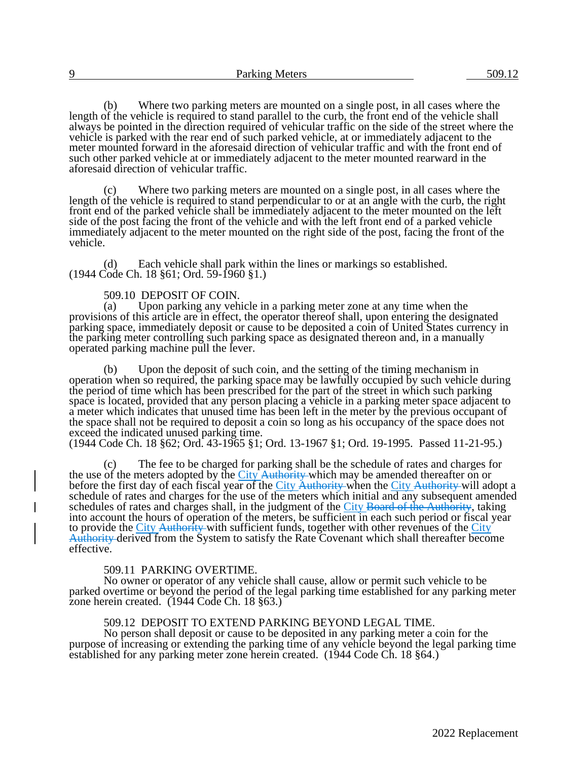(b) Where two parking meters are mounted on a single post, in all cases where the length of the vehicle is required to stand parallel to the curb, the front end of the vehicle shall always be pointed in the direction required of vehicular traffic on the side of the street where the vehicle is parked with the rear end of such parked vehicle, at or immediately adjacent to the meter mounted forward in the aforesaid direction of vehicular traffic and with the front end of such other parked vehicle at or immediately adjacent to the meter mounted rearward in the aforesaid direction of vehicular traffic.

(c) Where two parking meters are mounted on a single post, in all cases where the length of the vehicle is required to stand perpendicular to or at an angle with the curb, the right front end of the parked vehicle shall be immediately adjacent to the meter mounted on the left side of the post facing the front of the vehicle and with the left front end of a parked vehicle immediately adjacent to the meter mounted on the right side of the post, facing the front of the vehicle.

(d) Each vehicle shall park within the lines or markings so established. (1944 Code Ch. 18 §61; Ord. 59-1960 §1.)

# 509.10 DEPOSIT OF COIN.<br>(a) Upon parking any yeh

Upon parking any vehicle in a parking meter zone at any time when the provisions of this article are in effect, the operator thereof shall, upon entering the designated parking space, immediately deposit or cause to be deposited a coin of United States currency in the parking meter controlling such parking space as designated thereon and, in a manually operated parking machine pull the lever.

(b) Upon the deposit of such coin, and the setting of the timing mechanism in operation when so required, the parking space may be lawfully occupied by such vehicle during the period of time which has been prescribed for the part of the street in which such parking space is located, provided that any person placing a vehicle in a parking meter space adjacent to a meter which indicates that unused time has been left in the meter by the previous occupant of the space shall not be required to deposit a coin so long as his occupancy of the space does not exceed the indicated unused parking time.

(1944 Code Ch. 18 §62; Ord. 43-1965 §1; Ord. 13-1967 §1; Ord. 19-1995. Passed 11-21-95.)

(c) The fee to be charged for parking shall be the schedule of rates and charges for the use of the meters adopted by the City Authority which may be amended thereafter on or before the first day of each fiscal year of the City Authority when the City Authority will adopt a schedule of rates and charges for the use of the meters which initial and any subsequent amended schedules of rates and charges shall, in the judgment of the City Board of the Authority, taking into account the hours of operation of the meters, be sufficient in each such period or fiscal year to provide the City Authority with sufficient funds, together with other revenues of the City Authority derived from the System to satisfy the Rate Covenant which shall thereafter become effective.

#### 509.11 PARKING OVERTIME.

No owner or operator of any vehicle shall cause, allow or permit such vehicle to be parked overtime or beyond the period of the legal parking time established for any parking meter zone herein created. (1944 Code Ch. 18 §63.)

#### 509.12 DEPOSIT TO EXTEND PARKING BEYOND LEGAL TIME.

No person shall deposit or cause to be deposited in any parking meter a coin for the purpose of increasing or extending the parking time of any vehicle beyond the legal parking time established for any parking meter zone herein created. (1944 Code Ch. 18 §64.)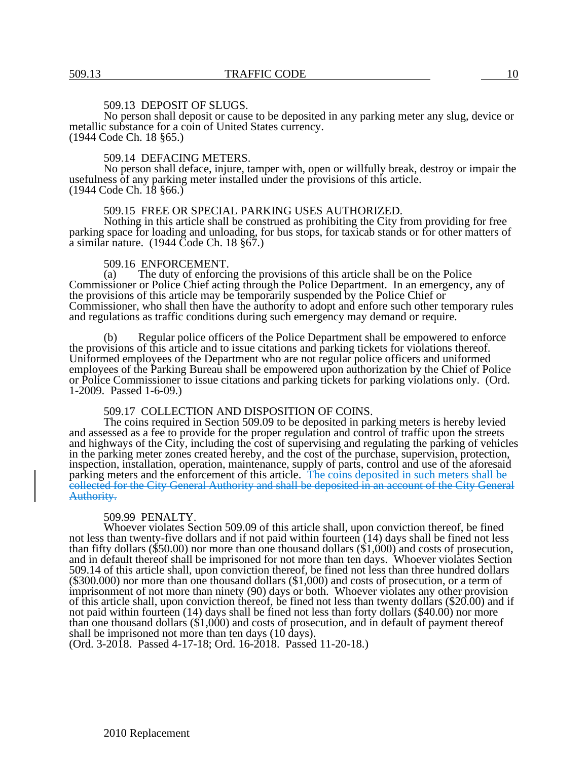## 509.13 DEPOSIT OF SLUGS.

No person shall deposit or cause to be deposited in any parking meter any slug, device or metallic substance for a coin of United States currency. (1944 Code Ch. 18 §65.)

#### 509.14 DEFACING METERS.

No person shall deface, injure, tamper with, open or willfully break, destroy or impair the usefulness of any parking meter installed under the provisions of this article. (1944 Code Ch. 18 §66.)

#### 509.15 FREE OR SPECIAL PARKING USES AUTHORIZED.

Nothing in this article shall be construed as prohibiting the City from providing for free parking space for loading and unloading, for bus stops, for taxicab stands or for other matters of a similar nature. (1944 Code Ch. 18 §67.)

# 509.16 ENFORCEMENT.<br>(a) The duty of enforcing

The duty of enforcing the provisions of this article shall be on the Police Commissioner or Police Chief acting through the Police Department. In an emergency, any of the provisions of this article may be temporarily suspended by the Police Chief or Commissioner, who shall then have the authority to adopt and enfore such other temporary rules and regulations as traffic conditions during such emergency may demand or require.

(b) Regular police officers of the Police Department shall be empowered to enforce the provisions of this article and to issue citations and parking tickets for violations thereof. Uniformed employees of the Department who are not regular police officers and uniformed employees of the Parking Bureau shall be empowered upon authorization by the Chief of Police or Police Commissioner to issue citations and parking tickets for parking violations only. (Ord. 1-2009. Passed 1-6-09.)

## 509.17 COLLECTION AND DISPOSITION OF COINS.

The coins required in Section 509.09 to be deposited in parking meters is hereby levied and assessed as a fee to provide for the proper regulation and control of traffic upon the streets and highways of the City, including the cost of supervising and regulating the parking of vehicles in the parking meter zones created hereby, and the cost of the purchase, supervision, protection, inspection, installation, operation, maintenance, supply of parts, control and use of the aforesaid parking meters and the enforcement of this article. The coins deposited in such meters shall be collected for the City General Authority and shall be deposited in an account of the City General Authority.

#### 509.99 PENALTY.

Whoever violates Section 509.09 of this article shall, upon conviction thereof, be fined not less than twenty-five dollars and if not paid within fourteen (14) days shall be fined not less than fifty dollars (\$50.00) nor more than one thousand dollars (\$1,000) and costs of prosecution, and in default thereof shall be imprisoned for not more than ten days. Whoever violates Section 509.14 of this article shall, upon conviction thereof, be fined not less than three hundred dollars (\$300.000) nor more than one thousand dollars (\$1,000) and costs of prosecution, or a term of imprisonment of not more than ninety (90) days or both. Whoever violates any other provision of this article shall, upon conviction thereof, be fined not less than twenty dollars (\$20.00) and if not paid within fourteen (14) days shall be fined not less than forty dollars (\$40.00) nor more than one thousand dollars (\$1,000) and costs of prosecution, and in default of payment thereof shall be imprisoned not more than ten days (10 days).

(Ord. 3-2018. Passed 4-17-18; Ord. 16-2018. Passed 11-20-18.)